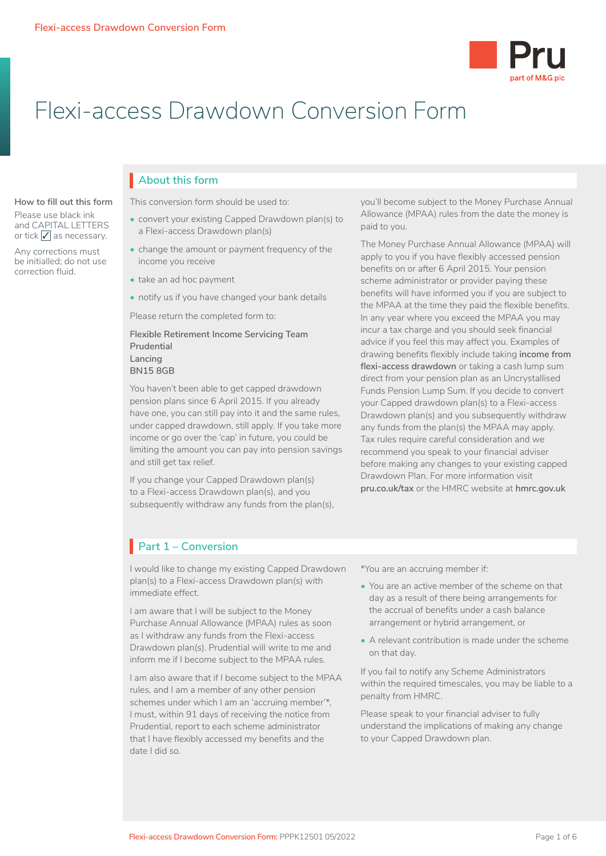

# Flexi-access Drawdown Conversion Form

#### **How to fill out this form**

Please use black ink and CAPITAL LETTERS or tick  $\sqrt{\ }$  as necessary.

Any corrections must be initialled; do not use correction fluid.

## **About this form** I

This conversion form should be used to:

- convert your existing Capped Drawdown plan(s) to a Flexi-access Drawdown plan(s)
- change the amount or payment frequency of the income you receive
- take an ad hoc payment
- notify us if you have changed your bank details

Please return the completed form to:

#### **Flexible Retirement Income Servicing Team Prudential Lancing**

### **BN15 8GB**

You haven't been able to get capped drawdown pension plans since 6 April 2015. If you already have one, you can still pay into it and the same rules, under capped drawdown, still apply. If you take more income or go over the 'cap' in future, you could be limiting the amount you can pay into pension savings and still get tax relief.

If you change your Capped Drawdown plan(s) to a Flexi-access Drawdown plan(s), and you subsequently withdraw any funds from the plan(s), you'll become subject to the Money Purchase Annual Allowance (MPAA) rules from the date the money is paid to you.

The Money Purchase Annual Allowance (MPAA) will apply to you if you have flexibly accessed pension benefits on or after 6 April 2015. Your pension scheme administrator or provider paying these benefits will have informed you if you are subject to the MPAA at the time they paid the flexible benefits. In any year where you exceed the MPAA you may incur a tax charge and you should seek financial advice if you feel this may affect you. Examples of drawing benefits flexibly include taking **income from flexi-access drawdown** or taking a cash lump sum direct from your pension plan as an Uncrystallised Funds Pension Lump Sum. If you decide to convert your Capped drawdown plan(s) to a Flexi-access Drawdown plan(s) and you subsequently withdraw any funds from the plan(s) the MPAA may apply. Tax rules require careful consideration and we recommend you speak to your financial adviser before making any changes to your existing capped Drawdown Plan. For more information visit **[pru.co.uk/tax](https://www.pru.co.uk/tax)** or the HMRC website at **[hmrc.gov.uk](http://www.hmrc.gov.uk)**

## **Part 1 – Conversion**

I would like to change my existing Capped Drawdown plan(s) to a Flexi-access Drawdown plan(s) with immediate effect.

I am aware that I will be subject to the Money Purchase Annual Allowance (MPAA) rules as soon as I withdraw any funds from the Flexi-access Drawdown plan(s). Prudential will write to me and inform me if I become subject to the MPAA rules.

I am also aware that if I become subject to the MPAA rules, and I am a member of any other pension schemes under which I am an 'accruing member'\*, I must, within 91 days of receiving the notice from Prudential, report to each scheme administrator that I have flexibly accessed my benefits and the date I did so.

\*You are an accruing member if:

- You are an active member of the scheme on that day as a result of there being arrangements for the accrual of benefits under a cash balance arrangement or hybrid arrangement, or
- A relevant contribution is made under the scheme on that day.

If you fail to notify any Scheme Administrators within the required timescales, you may be liable to a penalty from HMRC.

Please speak to your financial adviser to fully understand the implications of making any change to your Capped Drawdown plan.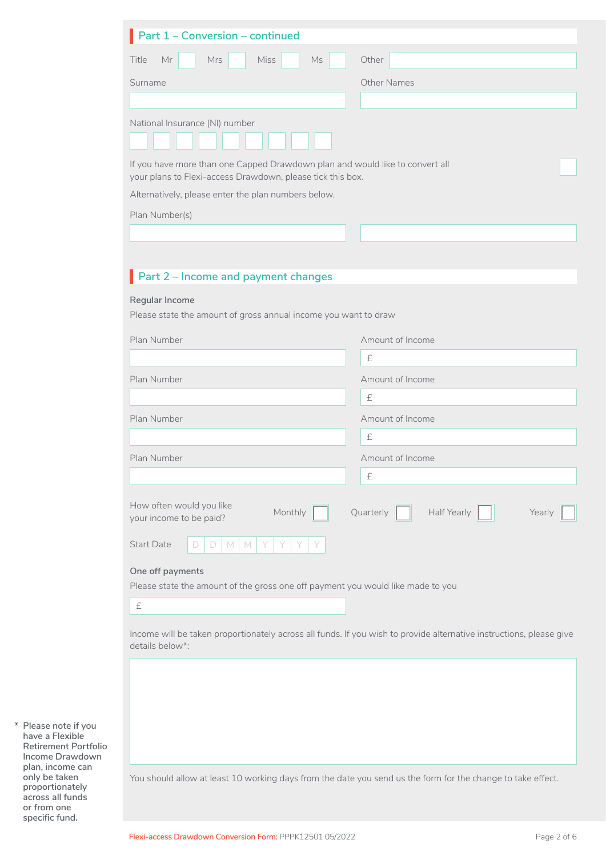| Title<br>Mr<br>Mrs<br><b>Miss</b><br>Ms                                                                                                    | Other                                                                                                               |
|--------------------------------------------------------------------------------------------------------------------------------------------|---------------------------------------------------------------------------------------------------------------------|
| Surname                                                                                                                                    | <b>Other Names</b>                                                                                                  |
|                                                                                                                                            |                                                                                                                     |
|                                                                                                                                            |                                                                                                                     |
| National Insurance (NI) number                                                                                                             |                                                                                                                     |
|                                                                                                                                            |                                                                                                                     |
| If you have more than one Capped Drawdown plan and would like to convert all<br>your plans to Flexi-access Drawdown, please tick this box. |                                                                                                                     |
| Alternatively, please enter the plan numbers below.                                                                                        |                                                                                                                     |
| Plan Number(s)                                                                                                                             |                                                                                                                     |
|                                                                                                                                            |                                                                                                                     |
|                                                                                                                                            |                                                                                                                     |
|                                                                                                                                            |                                                                                                                     |
| Part 2 - Income and payment changes                                                                                                        |                                                                                                                     |
| Regular Income                                                                                                                             |                                                                                                                     |
| Please state the amount of gross annual income you want to draw                                                                            |                                                                                                                     |
| Plan Number                                                                                                                                | Amount of Income                                                                                                    |
|                                                                                                                                            | £                                                                                                                   |
| Plan Number                                                                                                                                | Amount of Income                                                                                                    |
|                                                                                                                                            | $\pounds$                                                                                                           |
|                                                                                                                                            |                                                                                                                     |
| Plan Number                                                                                                                                | Amount of Income<br>$\pounds$                                                                                       |
|                                                                                                                                            |                                                                                                                     |
| Plan Number                                                                                                                                | Amount of Income                                                                                                    |
|                                                                                                                                            | £                                                                                                                   |
| How often would you like<br>Monthly<br>your income to be paid?                                                                             | Half Yearly<br>Quarterly<br>Yearly                                                                                  |
| <b>Start Date</b><br>$M_{\odot}$<br>M<br>D<br>D.<br>Y                                                                                      |                                                                                                                     |
| One off payments                                                                                                                           |                                                                                                                     |
| Please state the amount of the gross one off payment you would like made to you                                                            |                                                                                                                     |
| $\pounds$                                                                                                                                  |                                                                                                                     |
|                                                                                                                                            |                                                                                                                     |
| details below*:                                                                                                                            | Income will be taken proportionately across all funds. If you wish to provide alternative instructions, please give |
|                                                                                                                                            |                                                                                                                     |
|                                                                                                                                            |                                                                                                                     |
|                                                                                                                                            |                                                                                                                     |
|                                                                                                                                            |                                                                                                                     |
|                                                                                                                                            |                                                                                                                     |
|                                                                                                                                            |                                                                                                                     |

**\* Please note if you have a Flexible Retirement Portfolio Income Drawdown plan, income can only be taken proportionately across all funds or from one specific fund.**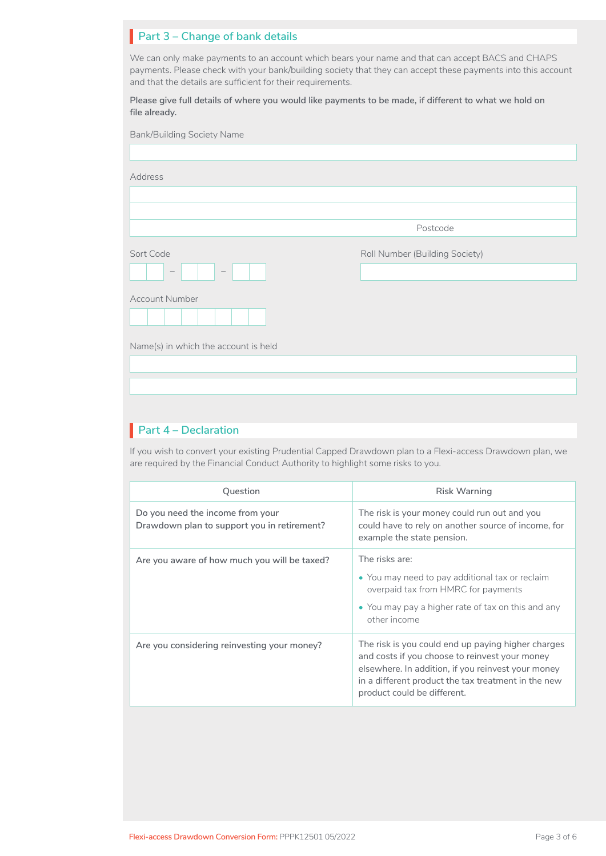## **Part 3 – Change of bank details**

We can only make payments to an account which bears your name and that can accept BACS and CHAPS payments. Please check with your bank/building society that they can accept these payments into this account and that the details are sufficient for their requirements.

**Please give full details of where you would like payments to be made, if different to what we hold on file already.**

| <b>Bank/Building Society Name</b>                  |                                |
|----------------------------------------------------|--------------------------------|
|                                                    |                                |
| Address                                            |                                |
|                                                    |                                |
|                                                    |                                |
|                                                    | Postcode                       |
| Sort Code                                          | Roll Number (Building Society) |
| $\hspace{0.1mm}-\hspace{0.1mm}$<br>$\qquad \qquad$ |                                |
| <b>Account Number</b>                              |                                |
|                                                    |                                |
| Name(s) in which the account is held               |                                |
|                                                    |                                |
|                                                    |                                |

## **Part 4 – Declaration** I

If you wish to convert your existing Prudential Capped Drawdown plan to a Flexi-access Drawdown plan, we are required by the Financial Conduct Authority to highlight some risks to you.

| Question                                                                        | <b>Risk Warning</b>                                                                                                                                                                                                                              |
|---------------------------------------------------------------------------------|--------------------------------------------------------------------------------------------------------------------------------------------------------------------------------------------------------------------------------------------------|
| Do you need the income from your<br>Drawdown plan to support you in retirement? | The risk is your money could run out and you<br>could have to rely on another source of income, for<br>example the state pension.                                                                                                                |
| Are you aware of how much you will be taxed?                                    | The risks are:<br>• You may need to pay additional tax or reclaim<br>overpaid tax from HMRC for payments<br>• You may pay a higher rate of tax on this and any<br>other income                                                                   |
| Are you considering reinvesting your money?                                     | The risk is you could end up paying higher charges<br>and costs if you choose to reinvest your money<br>elsewhere. In addition, if you reinvest your money<br>in a different product the tax treatment in the new<br>product could be different. |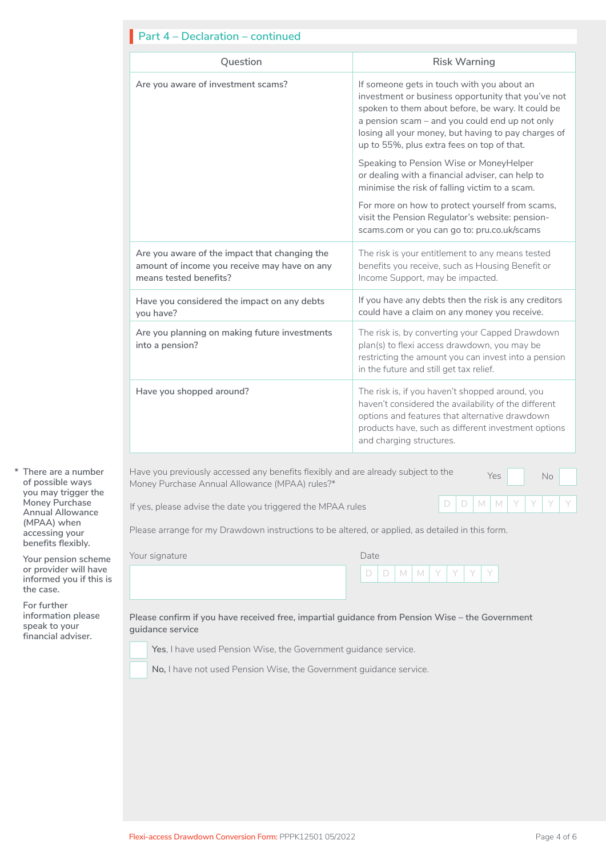| <b>Part 4 - Declaration - continued</b>                                                                                 |                                                                                                                                                                                                                                                                                                              |  |  |
|-------------------------------------------------------------------------------------------------------------------------|--------------------------------------------------------------------------------------------------------------------------------------------------------------------------------------------------------------------------------------------------------------------------------------------------------------|--|--|
| Question                                                                                                                | <b>Risk Warning</b>                                                                                                                                                                                                                                                                                          |  |  |
| Are you aware of investment scams?                                                                                      | If someone gets in touch with you about an<br>investment or business opportunity that you've not<br>spoken to them about before, be wary. It could be<br>a pension scam - and you could end up not only<br>losing all your money, but having to pay charges of<br>up to 55%, plus extra fees on top of that. |  |  |
|                                                                                                                         | Speaking to Pension Wise or MoneyHelper<br>or dealing with a financial adviser, can help to<br>minimise the risk of falling victim to a scam.                                                                                                                                                                |  |  |
|                                                                                                                         | For more on how to protect yourself from scams,<br>visit the Pension Regulator's website: pension-<br>scams.com or you can go to: pru.co.uk/scams                                                                                                                                                            |  |  |
| Are you aware of the impact that changing the<br>amount of income you receive may have on any<br>means tested benefits? | The risk is your entitlement to any means tested<br>benefits you receive, such as Housing Benefit or<br>Income Support, may be impacted.                                                                                                                                                                     |  |  |
| Have you considered the impact on any debts<br>you have?                                                                | If you have any debts then the risk is any creditors<br>could have a claim on any money you receive.                                                                                                                                                                                                         |  |  |
| Are you planning on making future investments<br>into a pension?                                                        | The risk is, by converting your Capped Drawdown<br>plan(s) to flexi access drawdown, you may be<br>restricting the amount you can invest into a pension<br>in the future and still get tax relief.                                                                                                           |  |  |
| Have you shopped around?                                                                                                | The risk is, if you haven't shopped around, you<br>haven't considered the availability of the different<br>options and features that alternative drawdown<br>products have, such as different investment options<br>and charging structures.                                                                 |  |  |

**\* There are a number of possible ways you may trigger the Money Purchase Annual Allowance (MPAA) when accessing your benefits flexibly.** 

**Your pension scheme or provider will have informed you if this is the case.**

**For further information please speak to your financial adviser.**

Have you previously accessed any benefits flexibly and are already subject to the  $\gamma_{\rm es}$   $\gamma_{\rm es}$  No Money Purchase Annual Allowance (MPAA) rules?\*

If yes, please advise the date you triggered the MPAA rules  $\Box$  D  $\Box$  M M

Please arrange for my Drawdown instructions to be altered, or applied, as detailed in this form.

Your signature

| Date |        |   |   |     |  |  |
|------|--------|---|---|-----|--|--|
|      | $\Box$ | M | M | , Y |  |  |

**Please confirm if you have received free, impartial guidance from Pension Wise – the Government guidance service** 

**Yes**, I have used Pension Wise, the Government guidance service. ganaan<br>Dal

□□ **No, I** have not used Pension Wise, the Government guidance service.

LJ

[ IT Irr I rj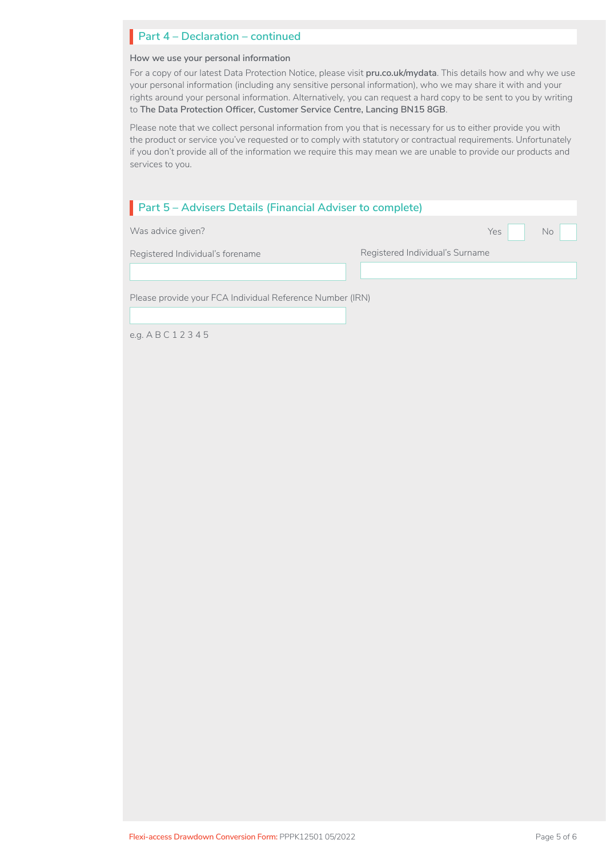## **Part 4 – Declaration – continued**

#### **How we use your personal information**

For a copy of our latest Data Protection Notice, please visit **[pru.co.uk/mydata](https://www.pru.co.uk/mydata)**. This details how and why we use your personal information (including any sensitive personal information), who we may share it with and your rights around your personal information. Alternatively, you can request a hard copy to be sent to you by writing to **The Data Protection Officer, Customer Service Centre, Lancing BN15 8GB**.

Please note that we collect personal information from you that is necessary for us to either provide you with the product or service you've requested or to comply with statutory or contractual requirements. Unfortunately if you don't provide all of the information we require this may mean we are unable to provide our products and services to you.

| Part 5 - Advisers Details (Financial Adviser to complete) |                                 |            |    |  |
|-----------------------------------------------------------|---------------------------------|------------|----|--|
| Was advice given?                                         |                                 | <b>Yes</b> | No |  |
| Registered Individual's forename                          | Registered Individual's Surname |            |    |  |
|                                                           |                                 |            |    |  |
| Please provide your FCA Individual Reference Number (IRN) |                                 |            |    |  |
| e.g. $ABC12345$                                           |                                 |            |    |  |

**Flexi-access Drawdown Conversion Form:** PPPK12501 05/2022 Page 5 of 6